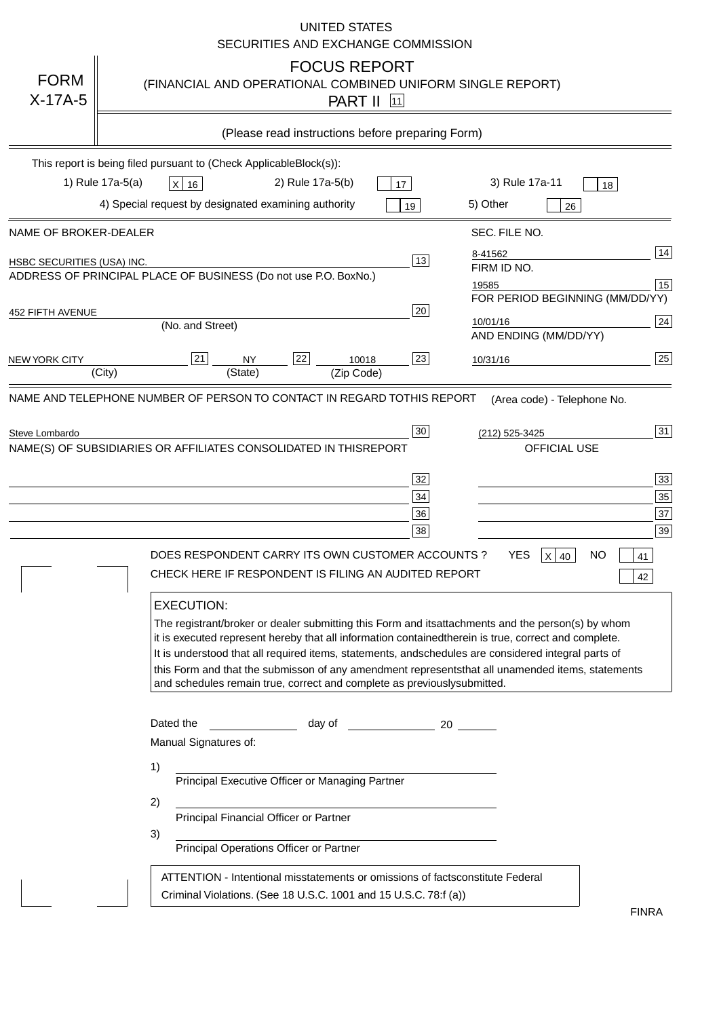|                                   | <b>UNITED STATES</b><br>SECURITIES AND EXCHANGE COMMISSION                                                                                                                                                                                                                                                                                                                                                                                                                                                                                                                                                                                                                                                                                                                                                                                                                                             |
|-----------------------------------|--------------------------------------------------------------------------------------------------------------------------------------------------------------------------------------------------------------------------------------------------------------------------------------------------------------------------------------------------------------------------------------------------------------------------------------------------------------------------------------------------------------------------------------------------------------------------------------------------------------------------------------------------------------------------------------------------------------------------------------------------------------------------------------------------------------------------------------------------------------------------------------------------------|
| <b>FORM</b><br>$X-17A-5$          | <b>FOCUS REPORT</b><br>(FINANCIAL AND OPERATIONAL COMBINED UNIFORM SINGLE REPORT)<br><b>PART II</b> 11                                                                                                                                                                                                                                                                                                                                                                                                                                                                                                                                                                                                                                                                                                                                                                                                 |
|                                   | (Please read instructions before preparing Form)                                                                                                                                                                                                                                                                                                                                                                                                                                                                                                                                                                                                                                                                                                                                                                                                                                                       |
|                                   | This report is being filed pursuant to (Check Applicable<br>$Block(s)$ :<br>3) Rule 17a-11<br>1) Rule 17a-5(a)<br>2) Rule 17a-5(b)<br>$X$ 16<br>17<br>18<br>4) Special request by designated examining authority<br>5) Other<br>19<br>26                                                                                                                                                                                                                                                                                                                                                                                                                                                                                                                                                                                                                                                               |
| NAME OF BROKER-DEALER             | SEC. FILE NO.                                                                                                                                                                                                                                                                                                                                                                                                                                                                                                                                                                                                                                                                                                                                                                                                                                                                                          |
| <b>HSBC SECURITIES (USA) INC.</b> | 14<br>8-41562<br>13<br>FIRM ID NO.<br>ADDRESS OF PRINCIPAL PLACE OF BUSINESS (Do not use P.O. Box<br>No.)<br>15<br>19585<br>FOR PERIOD BEGINNING (MM/DD/YY)                                                                                                                                                                                                                                                                                                                                                                                                                                                                                                                                                                                                                                                                                                                                            |
| <b>452 FIFTH AVENUE</b>           | 20<br>24<br>10/01/16<br>(No. and Street)<br>AND ENDING (MM/DD/YY)                                                                                                                                                                                                                                                                                                                                                                                                                                                                                                                                                                                                                                                                                                                                                                                                                                      |
| <b>NEW YORK CITY</b>              | 25<br>22<br>21<br>23<br><b>NY</b><br>10018<br>10/31/16<br>(City)<br>(State)<br>(Zip Code)                                                                                                                                                                                                                                                                                                                                                                                                                                                                                                                                                                                                                                                                                                                                                                                                              |
| Steve Lombardo                    | 31<br>30<br>(212) 525-3425<br>NAME(S) OF SUBSIDIARIES OR AFFILIATES CONSOLIDATED IN THIS<br><b>REPORT</b><br><b>OFFICIAL USE</b><br>$\overline{33}$<br>32<br>35<br>34<br>37<br>36<br>39<br>38<br>DOES RESPONDENT CARRY ITS OWN CUSTOMER ACCOUNTS?<br><b>YES</b><br>$X$ 40<br><b>NO</b><br>41<br>CHECK HERE IF RESPONDENT IS FILING AN AUDITED REPORT<br>42<br><b>EXECUTION:</b><br>The registrant/broker or dealer submitting this Form and its<br>attachments and the person(s) by whom<br>it is executed represent hereby that all information contained<br>therein is true, correct and complete.<br>It is understood that all required items, statements, and<br>schedules are considered integral parts of<br>this Form and that the submisson of any amendment represents<br>that all unamended items, statements<br>and schedules remain true, correct and complete as previously<br>submitted. |
|                                   | Dated the<br>day of<br>20<br>Manual Signatures of:<br>1)<br>Principal Executive Officer or Managing Partner<br>2)<br>Principal Financial Officer or Partner<br>3)<br>Principal Operations Officer or Partner                                                                                                                                                                                                                                                                                                                                                                                                                                                                                                                                                                                                                                                                                           |
|                                   | ATTENTION - Intentional misstatements or omissions of facts<br>constitute Federal<br>Criminal Violations. (See 18 U.S.C. 1001 and 15 U.S.C. 78:f (a)<br>$\lambda$<br><b>FINRA</b>                                                                                                                                                                                                                                                                                                                                                                                                                                                                                                                                                                                                                                                                                                                      |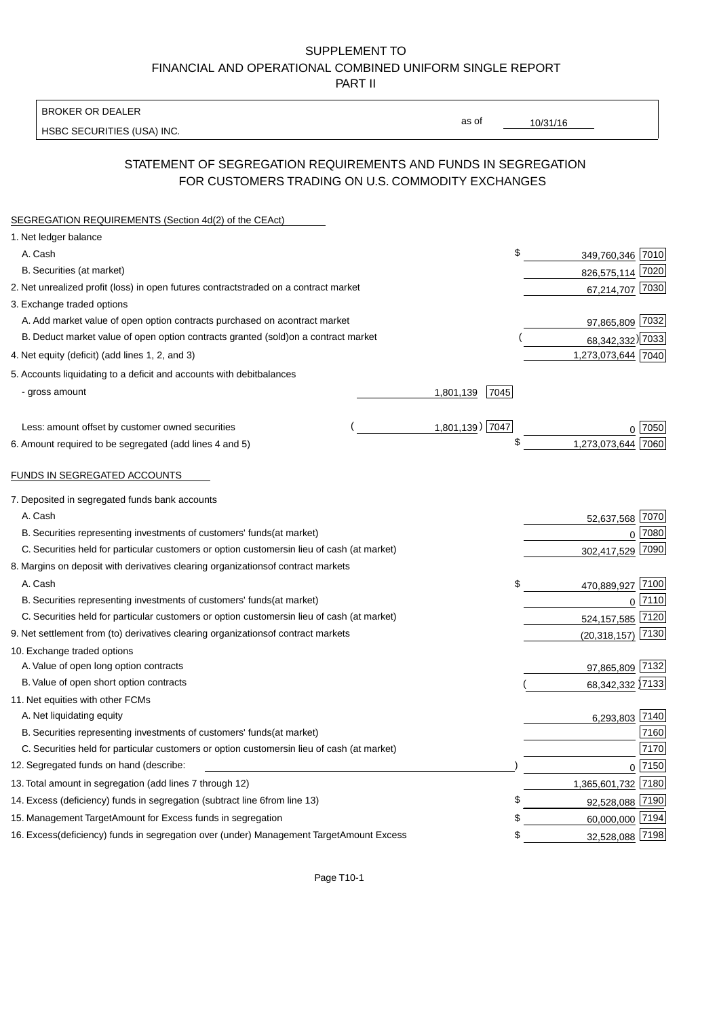BROKER OR DEALER

HSBC SECURITIES (USA) INC.

10/31/16

as of

## STATEMENT OF SEGREGATION REQUIREMENTS AND FUNDS IN SEGREGATION FOR CUSTOMERS TRADING ON U.S. COMMODITY EXCHANGES

| SEGREGATION REQUIREMENTS (Section 4d(2) of the CEAct)                                          |                   |                    |          |
|------------------------------------------------------------------------------------------------|-------------------|--------------------|----------|
| 1. Net ledger balance                                                                          |                   |                    |          |
| A. Cash                                                                                        | \$                | 349,760,346 7010   |          |
| B. Securities (at market)                                                                      |                   | 826,575,114 7020   |          |
| 2. Net unrealized profit (loss) in open futures contracts<br>traded on a contract market       |                   | 67,214,707 7030    |          |
| 3. Exchange traded options                                                                     |                   |                    |          |
| A. Add market value of open option contracts purchased on a<br>contract market                 |                   | 97,865,809 7032    |          |
| B. Deduct market value of open option contracts granted (sold)<br>on a contract market         |                   | 68,342,332) 7033   |          |
| 4. Net equity (deficit) (add lines 1, 2, and 3)                                                |                   | 1,273,073,644 7040 |          |
| 5. Accounts liquidating to a deficit and accounts with debit<br>balances                       |                   |                    |          |
| - gross amount                                                                                 | 7045<br>1,801,139 |                    |          |
|                                                                                                |                   |                    |          |
| Less: amount offset by customer owned securities                                               | 1,801,139) 7047   |                    | 7050     |
| 6. Amount required to be segregated (add lines 4 and 5)                                        | \$                | 1,273,073,644      | 7060     |
|                                                                                                |                   |                    |          |
| FUNDS IN SEGREGATED ACCOUNTS                                                                   |                   |                    |          |
| 7. Deposited in segregated funds bank accounts                                                 |                   |                    |          |
| A. Cash                                                                                        |                   | 52,637,568 7070    |          |
| B. Securities representing investments of customers' funds<br>(at market)                      |                   | $\mathbf{0}$       | 7080     |
| C. Securities held for particular customers or option customers<br>in lieu of cash (at market) |                   | 302,417,529        | 7090     |
| 8. Margins on deposit with derivatives clearing organizations<br>of contract markets           |                   |                    |          |
| A. Cash                                                                                        | \$                | 470,889,927 7100   |          |
| B. Securities representing investments of customers' funds<br>(at market)                      |                   |                    | 0 7110   |
| C. Securities held for particular customers or option customers<br>in lieu of cash (at market) |                   | 524,157,585        | 7120     |
| 9. Net settlement from (to) derivatives clearing organizations<br>of contract markets          |                   | (20, 318, 157)     | 7130     |
| 10. Exchange traded options                                                                    |                   |                    |          |
| A. Value of open long option contracts                                                         |                   | 97,865,809 7132    |          |
| B. Value of open short option contracts                                                        |                   | 68,342,332 7133    |          |
| 11. Net equities with other FCMs                                                               |                   |                    |          |
| A. Net liquidating equity                                                                      |                   | 6,293,803 7140     |          |
| B. Securities representing investments of customers' funds<br>(at market)                      |                   |                    | 7160     |
| C. Securities held for particular customers or option customers<br>in lieu of cash (at market) |                   |                    | 7170     |
| 12. Segregated funds on hand (describe:                                                        |                   |                    | $0$ 7150 |
| 13. Total amount in segregation (add lines 7 through 12)                                       |                   | 1,365,601,732 7180 |          |
| 14. Excess (deficiency) funds in segregation (subtract line 6 from line 13)                    | £                 | 92,528,088 7190    |          |
| 15. Management Target Amount for Excess funds in segregation                                   | \$                | 60,000,000 7194    |          |
| 16. Excess (deficiency) funds in segregation over (under) Management Target Amount Excess      | \$                | 32,528,088 7198    |          |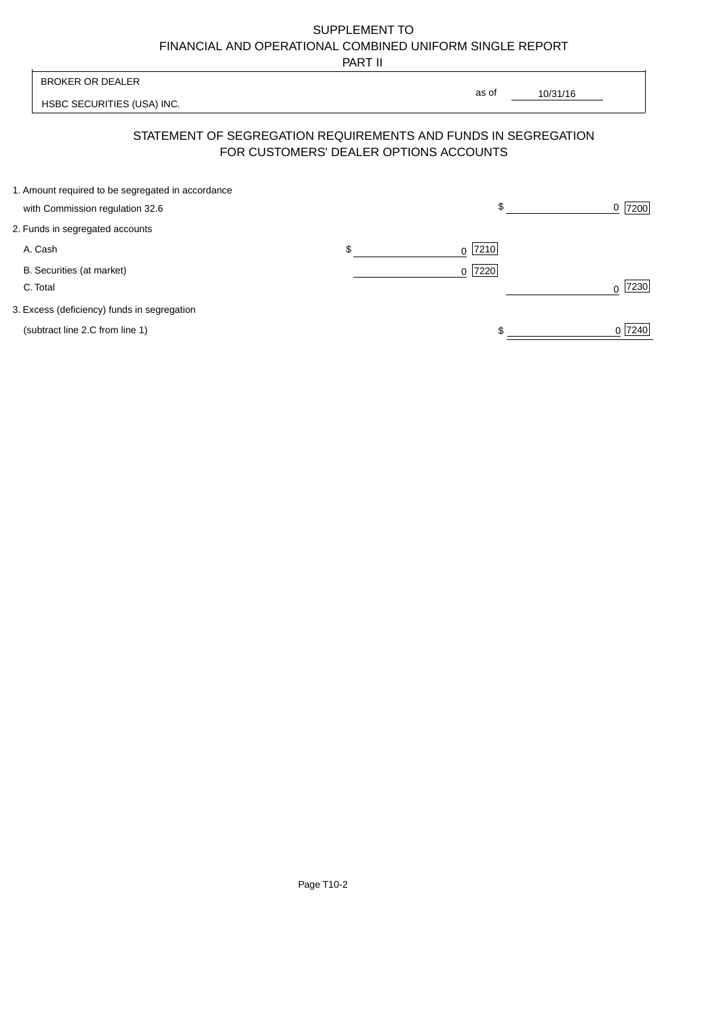PART II

 $\overline{1}$ 

| <b>BROKER OR DEALER</b>                                                                                  |    | as of      |          |           |
|----------------------------------------------------------------------------------------------------------|----|------------|----------|-----------|
| HSBC SECURITIES (USA) INC.                                                                               |    |            | 10/31/16 |           |
| STATEMENT OF SEGREGATION REQUIREMENTS AND FUNDS IN SEGREGATION<br>FOR CUSTOMERS' DEALER OPTIONS ACCOUNTS |    |            |          |           |
| 1. Amount required to be segregated in accordance<br>with Commission regulation 32.6                     |    | \$         |          | 7200<br>0 |
| 2. Funds in segregated accounts                                                                          |    |            |          |           |
| A. Cash                                                                                                  | \$ | 7210 <br>0 |          |           |
| B. Securities (at market)<br>C. Total                                                                    |    | 7220<br>0  |          | 7230<br>U |
| 3. Excess (deficiency) funds in segregation                                                              |    |            |          |           |
| (subtract line 2.C from line 1)                                                                          |    |            |          | 0 7240    |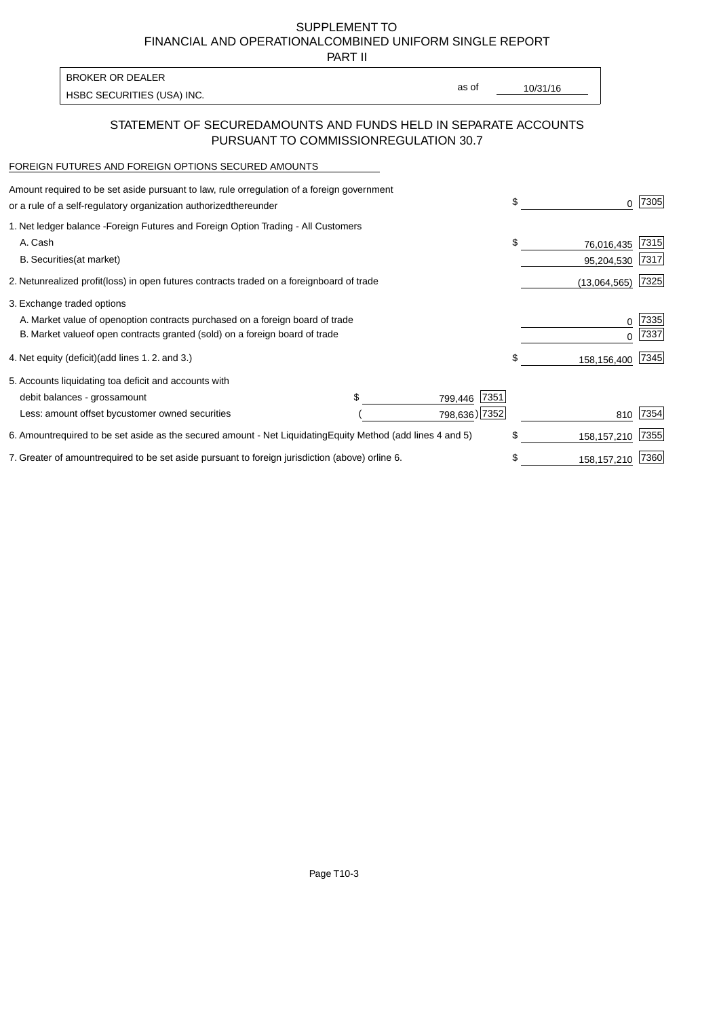PART II

| <b>BROKER OR DEALER</b>    |       |          |
|----------------------------|-------|----------|
|                            | as of | 10/31/16 |
| HSBC SECURITIES (USA) INC. |       |          |

### STATEMENT OF SECURED AMOUNTS AND FUNDS HELD IN SEPARATE ACCOUNTS PURSUANT TO COMMISSION REGULATION 30.7

#### FOREIGN FUTURES AND FOREIGN OPTIONS SECURED AMOUNTS

| Amount required to be set aside pursuant to law, rule or<br>regulation of a foreign government<br>or a rule of a self-regulatory organization authorized<br>thereunder                       | \$<br>0                        | 7305         |
|----------------------------------------------------------------------------------------------------------------------------------------------------------------------------------------------|--------------------------------|--------------|
| 1. Net ledger balance - Foreign Futures and Foreign Option Trading - All Customers<br>A. Cash<br><b>B.</b> Securities<br>(at market)                                                         | \$<br>76,016,435<br>95,204,530 | 7315<br>7317 |
| unrealized profit (loss) in open futures contracts traded on a foreign board of trade<br>2. Net                                                                                              | (13,064,565)                   | 7325         |
| 3. Exchange traded options<br>A. Market value of open option contracts purchased on a foreign board of trade<br>B. Market value of open contracts granted (sold) on a foreign board of trade | 0<br>U                         | 7335<br>7337 |
| (add lines 1.2. and 3.)<br>4. Net equity (deficit)                                                                                                                                           | \$<br>158,156,400              | 7345         |
| 5. Accounts liquidating to a deficit and accounts with<br>7351<br>debit balances - gross<br>amount<br>799,446<br>Less: amount offset by customer owned securities<br>798,636) 7352           | 810                            | 7354         |
| 6. Amount required to be set aside as the secured amount - Net Liquidating<br>Equity Method (add lines 4 and 5)                                                                              | \$<br>158, 157, 210            | 7355         |
| 7. Greater of amount required to be set aside pursuant to foreign jurisdiction (above) or line 6.                                                                                            | 158, 157, 210                  | 7360         |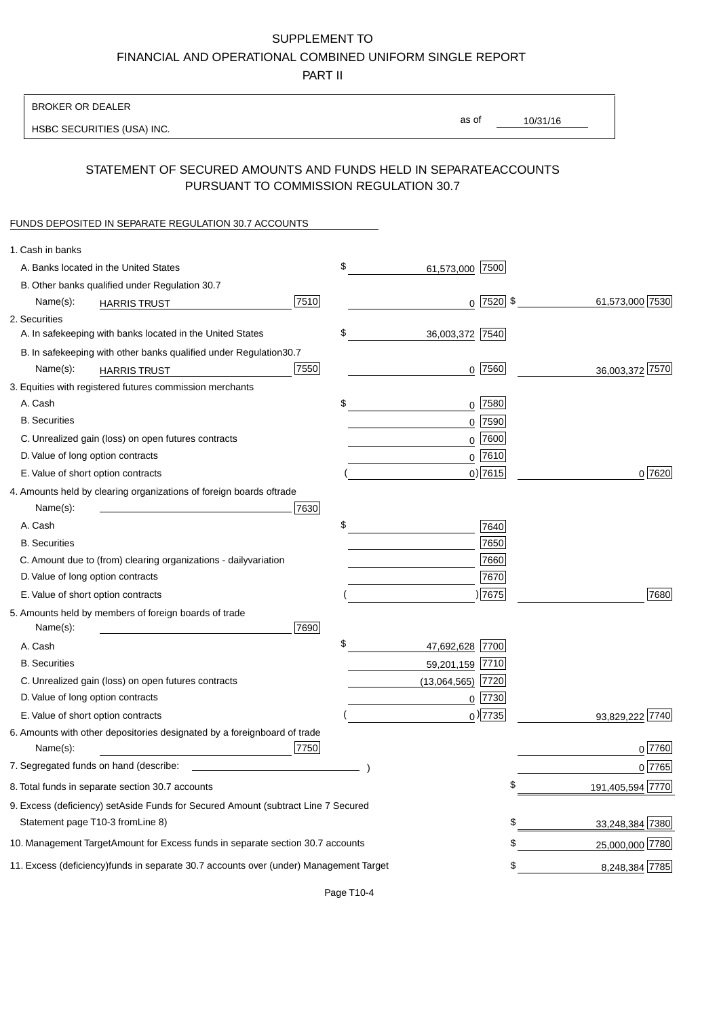PART II

| <b>BROKER OR DEALER</b>                                                                           |                       |                 |                  |
|---------------------------------------------------------------------------------------------------|-----------------------|-----------------|------------------|
| HSBC SECURITIES (USA) INC.                                                                        | as of                 | 10/31/16        |                  |
| STATEMENT OF SECURED AMOUNTS AND FUNDS HELD IN SEPARATE<br>PURSUANT TO COMMISSION REGULATION 30.7 |                       | <b>ACCOUNTS</b> |                  |
| FUNDS DEPOSITED IN SEPARATE REGULATION 30.7 ACCOUNTS                                              |                       |                 |                  |
| 1. Cash in banks                                                                                  |                       |                 |                  |
| A. Banks located in the United States                                                             | \$<br>61,573,000 7500 |                 |                  |
| B. Other banks qualified under Regulation 30.7                                                    |                       |                 |                  |
| 7510<br>Name(s):<br><b>HARRIS TRUST</b>                                                           |                       | $0$  7520  \$   | 61,573,000 7530  |
| 2. Securities                                                                                     |                       |                 |                  |
| A. In safekeeping with banks located in the United States                                         | \$<br>36,003,372 7540 |                 |                  |
| B. In safekeeping with other banks qualified under Regulation<br>30.7                             |                       |                 |                  |
| 7550<br>Name(s):<br><b>HARRIS TRUST</b>                                                           |                       | $0$ 7560        | 36,003,372 7570  |
| 3. Equities with registered futures commission merchants                                          |                       |                 |                  |
| A. Cash                                                                                           | \$                    | $0$ 7580        |                  |
| <b>B.</b> Securities                                                                              |                       | 0 7590          |                  |
| C. Unrealized gain (loss) on open futures contracts                                               |                       | $0$ 7600        |                  |
| D. Value of long option contracts                                                                 |                       | $0^{7610}$      |                  |
| E. Value of short option contracts                                                                |                       | $0$ ) 7615      | 0 7620           |
| 4. Amounts held by clearing organizations of foreign boards of<br>trade                           |                       |                 |                  |
| Name(s):<br>7630                                                                                  |                       |                 |                  |
| A. Cash                                                                                           | \$                    | 7640            |                  |
| <b>B.</b> Securities                                                                              |                       | 7650            |                  |
| C. Amount due to (from) clearing organizations - daily<br>variation                               |                       | 7660            |                  |
| D. Value of long option contracts                                                                 |                       | 7670            |                  |
| E. Value of short option contracts                                                                |                       | )7675           | 7680             |
| 5. Amounts held by members of foreign boards of trade<br>Name(s):<br>7690                         |                       |                 |                  |
| A. Cash                                                                                           | \$<br>47,692,628 7700 |                 |                  |
| <b>B.</b> Securities                                                                              | 59,201,159 7710       |                 |                  |
| C. Unrealized gain (loss) on open futures contracts                                               | $(13,064,565)$ 7720   |                 |                  |
| D. Value of long option contracts                                                                 |                       | $0$ 7730        |                  |
| E. Value of short option contracts                                                                |                       | $0$ ) 7735      | 93,829,222 7740  |
| 6. Amounts with other depositories designated by a foreign<br>board of trade<br>7750<br>Name(s):  |                       |                 | 0 7760           |
| 7. Segregated funds on hand (describe:                                                            |                       |                 | $0$ 7765         |
| 8. Total funds in separate section 30.7 accounts                                                  |                       | \$              | 191,405,594 7770 |
| 9. Excess (deficiency) set Aside Funds for Secured Amount (subtract Line 7 Secured                |                       |                 |                  |
| Statement page T10-3 from Line 8)                                                                 |                       | \$              | 33,248,384 7380  |
| 10. Management Target Amount for Excess funds in separate section 30.7 accounts                   |                       | \$              | 25,000,000 7780  |
| 11. Excess (deficiency) funds in separate 30.7 accounts over (under) Management Target            |                       | \$              | 8,248,384 7785   |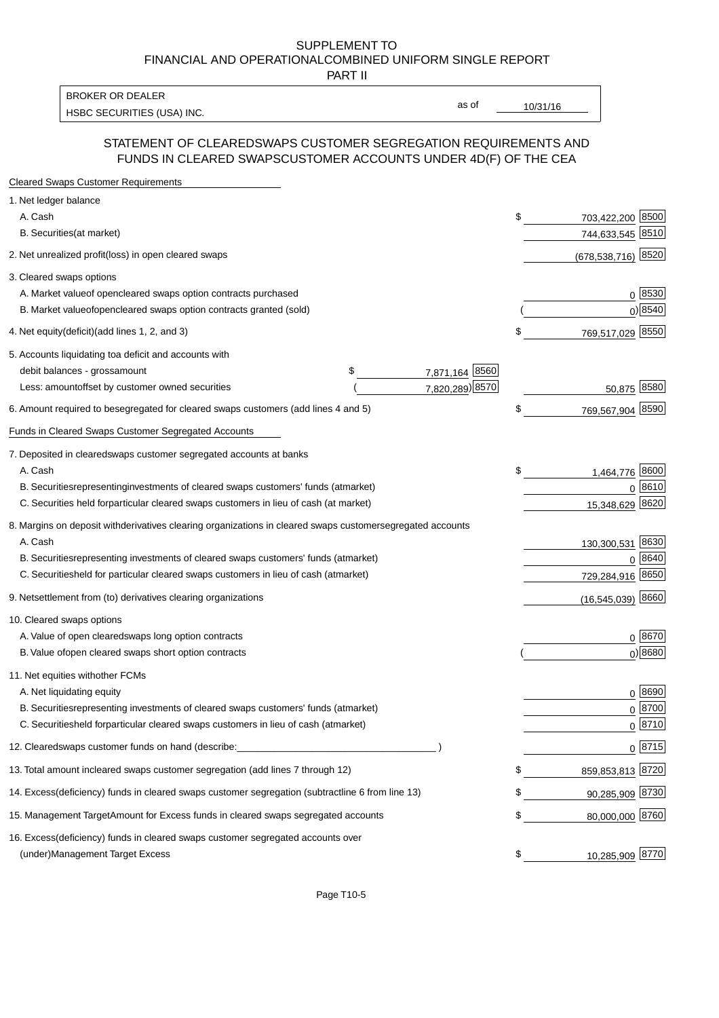PART II

HSBC SECURITIES (USA) INC. The state of the state of the state of the state of the state of the state of the state of the state of the state of the state of the state of the state of the state of the state of the state of BROKER OR DEALER

as of

#### STATEMENT OF CLEARED SWAPS CUSTOMER SEGREGATION REQUIREMENTS AND FUNDS IN CLEARED SWAPS CUSTOMER ACCOUNTS UNDER 4D(F) OF THE CEA

| <b>Cleared Swaps Customer Requirements</b>                                                                  |                         |
|-------------------------------------------------------------------------------------------------------------|-------------------------|
| 1. Net ledger balance                                                                                       |                         |
| A. Cash                                                                                                     | \$<br>703,422,200 8500  |
| B. Securities (at market)                                                                                   | 744,633,545 8510        |
| 2. Net unrealized profit (loss) in open cleared swaps                                                       | 8520<br>(678, 538, 716) |
| 3. Cleared swaps options                                                                                    |                         |
| A. Market value of open cleared swaps option contracts purchased                                            | $0^{8530}$              |
| B. Market value of open cleared swaps option contracts granted (sold)                                       | $0)$ 8540               |
| 4. Net equity (deficit) (add lines 1, 2, and 3)                                                             | \$<br>769,517,029 8550  |
| 5. Accounts liquidating to a deficit and accounts with                                                      |                         |
| 7,871,164 8560<br>debit balances - gross<br>\$<br>amount                                                    |                         |
| 7,820,289) 8570<br>Less: amount offset by customer owned securities                                         | 50,875 8580             |
| 6. Amount required to be segregated for cleared swaps customers (add lines 4 and 5)                         | \$<br>769,567,904 8590  |
| <b>Funds in Cleared Swaps Customer Segregated Accounts</b>                                                  |                         |
| 7. Deposited in cleared swaps customer segregated accounts at banks                                         |                         |
| A. Cash                                                                                                     | \$<br>8600<br>1,464,776 |
| B. Securities representing investments of cleared swaps customers' funds (at market)                        | 0 8610                  |
| C. Securities held for particular cleared swaps customers in lieu of cash (at market)                       | 8620<br>15,348,629      |
| 8. Margins on deposit with derivatives clearing organizations in cleared swaps customer segregated accounts |                         |
| A. Cash                                                                                                     | 130,300,531 8630        |
| representing investments of cleared swaps customers' funds (at market)<br><b>B.</b> Securities              | 8640<br>$\Omega$        |
| held for particular cleared swaps customers in lieu of cash (at market)<br>C. Securities                    | 8650<br>729,284,916     |
| 9. Net settlement from (to) derivatives clearing organizations                                              | $(16,545,039)$ 8660     |
| 10. Cleared swaps options                                                                                   |                         |
| A. Value of open cleared swaps long option contracts                                                        | $0^{8670}$              |
| B. Value of open cleared swaps short option contracts                                                       | $0$ ) 8680              |
| 11. Net equities with other FCMs                                                                            |                         |
| A. Net liquidating equity                                                                                   | $0^{8690}$              |
| B. Securities representing investments of cleared swaps customers' funds (at market)                        | $0^{8700}$              |
| C. Securities held for particular cleared swaps customers in lieu of cash (at market)                       | 0 8710                  |
| 12. Cleared swaps customer funds on hand (describe:                                                         | $0 \;  8715 $           |
| 13. Total amount in cleared swaps customer segregation (add lines 7 through 12)                             | \$<br>859,853,813 8720  |
| 14. Excess (deficiency) funds in cleared swaps customer segregation (subtract line 6 from line 13)          | 90,285,909 8730         |
| 15. Management Target Amount for Excess funds in cleared swaps segregated accounts                          | \$<br>80,000,000 8760   |
| 16. Excess<br>(deficiency) funds in cleared swaps customer segregated accounts over                         |                         |
| <b>Management Target Excess</b><br>(under)                                                                  | \$<br>10,285,909 8770   |